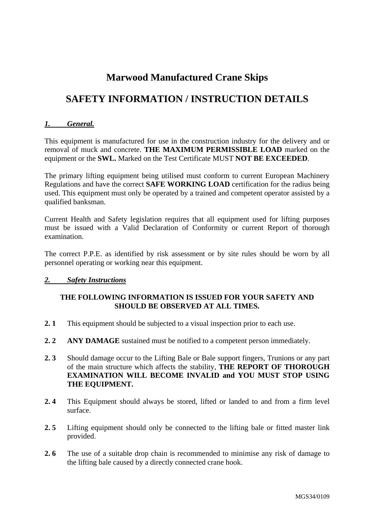# **Marwood Manufactured Crane Skips**

# **SAFETY INFORMATION / INSTRUCTION DETAILS**

#### *1. General.*

This equipment is manufactured for use in the construction industry for the delivery and or removal of muck and concrete. **THE MAXIMUM PERMISSIBLE LOAD** marked on the equipment or the **SWL.** Marked on the Test Certificate MUST **NOT BE EXCEEDED**.

The primary lifting equipment being utilised must conform to current European Machinery Regulations and have the correct **SAFE WORKING LOAD** certification for the radius being used. This equipment must only be operated by a trained and competent operator assisted by a qualified banksman.

Current Health and Safety legislation requires that all equipment used for lifting purposes must be issued with a Valid Declaration of Conformity or current Report of thorough examination.

The correct P.P.E. as identified by risk assessment or by site rules should be worn by all personnel operating or working near this equipment.

### *2. Safety Instructions*

### **THE FOLLOWING INFORMATION IS ISSUED FOR YOUR SAFETY AND SHOULD BE OBSERVED AT ALL TIMES.**

- **2. 1** This equipment should be subjected to a visual inspection prior to each use.
- **2. 2 ANY DAMAGE** sustained must be notified to a competent person immediately.
- **2. 3** Should damage occur to the Lifting Bale or Bale support fingers, Trunions or any part of the main structure which affects the stability, **THE REPORT OF THOROUGH EXAMINATION WILL BECOME INVALID and YOU MUST STOP USING THE EQUIPMENT.**
- **2. 4** This Equipment should always be stored, lifted or landed to and from a firm level surface.
- **2. 5** Lifting equipment should only be connected to the lifting bale or fitted master link provided.
- **2. 6** The use of a suitable drop chain is recommended to minimise any risk of damage to the lifting bale caused by a directly connected crane hook.